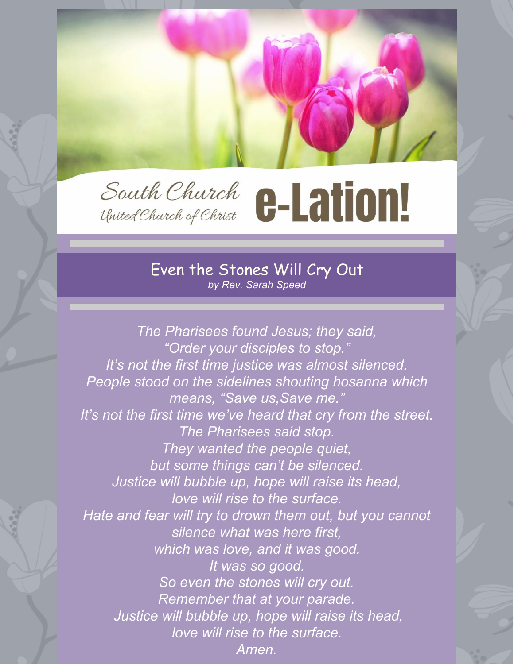

#### Even the Stones Will Cry Out *by Rev. Sarah Speed*

*The Pharisees found Jesus; they said, "Order your disciples to stop." It's not the first time justice was almost silenced. People stood on the sidelines shouting hosanna which means, "Save us,Save me." It's not the first time we've heard that cry from the street. The Pharisees said stop. They wanted the people quiet, but some things can't be silenced. Justice will bubble up, hope will raise its head, love will rise to the surface. Hate and fear will try to drown them out, but you cannot silence what was here first, which was love, and it was good. It was so good. So even the stones will cry out. Remember that at your parade. Justice will bubble up, hope will raise its head, love will rise to the surface. Amen.*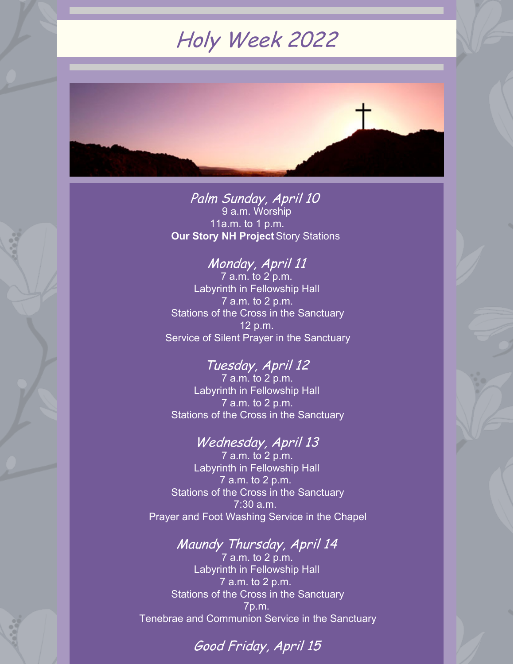# Holy Week 2022



Palm Sunday, April 10 9 a.m. Worship 11a.m. to 1 p.m. **Our Story NH [Project](http://volunteersignup.org/WFMEA)**Story Stations

### Monday, April 11

7 a.m. to 2 p.m. Labyrinth in Fellowship Hall 7 a.m. to 2 p.m. Stations of the Cross in the Sanctuary 12 p.m. Service of Silent Prayer in the Sanctuary

#### Tuesday, April 12

7 a.m. to 2 p.m. Labyrinth in Fellowship Hall 7 a.m. to 2 p.m. Stations of the Cross in the Sanctuary

#### Wednesday, April 13

7 a.m. to 2 p.m. Labyrinth in Fellowship Hall 7 a.m. to 2 p.m. **Stations of the Cross in the Sanctuary** 7:30 a.m. Prayer and Foot Washing Service in the Chapel

## Maundy Thursday, April 14

7 a.m. to 2 p.m. Labyrinth in Fellowship Hall 7 a.m. to 2 p.m. Stations of the Cross in the Sanctuary 7p.m. Tenebrae and Communion Service in the Sanctuary

## Good Friday, April 15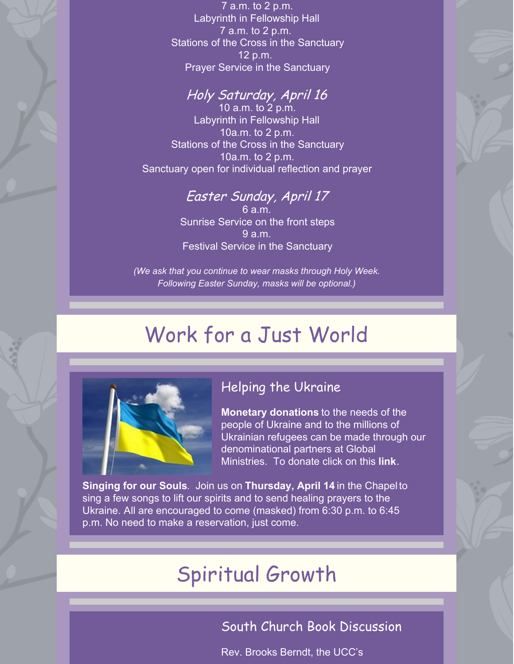7 a.m. to 2 p.m. Labyrinth in Fellowship Hall 7 a.m. to 2 p.m. Stations of the Cross in the Sanctuary 12 p.m. Prayer Service in the Sanctuary

#### Holy Saturday, April 16

10 a.m. to 2 p.m. Labyrinth in Fellowship Hall 10a.m. to 2 p.m. Stations of the Cross in the Sanctuary 10a.m. to 2 p.m. Sanctuary open for individual reflection and prayer

## Easter Sunday, April 17

6 a.m. Sunrise Service on the front steps 9 a.m. Festival Service in the Sanctuary

*(We ask that you continue to wear masks through Holy Week. Following Easter Sunday, masks will be optional.)*

# Work for a Just World



### Helping the Ukraine

**Monetary donations** to the needs of the people of Ukraine and to the millions of Ukrainian refugees can be made through our denominational partners at Global Ministries. To donate click on this **[link](https://support.ucc.org/global-h-o-p-e/ukraine-emergency-appeal)**.

**Singing for our Souls**. Join us on **Thursday, April 14** in the Chapel to sing a few songs to lift our spirits and to send healing prayers to the Ukraine. All are encouraged to come (masked) from 6:30 p.m. to 6:45 p.m. No need to make a reservation, just come.

# Spiritual Growth

### South Church Book Discussion

Rev. Brooks Berndt, the UCC's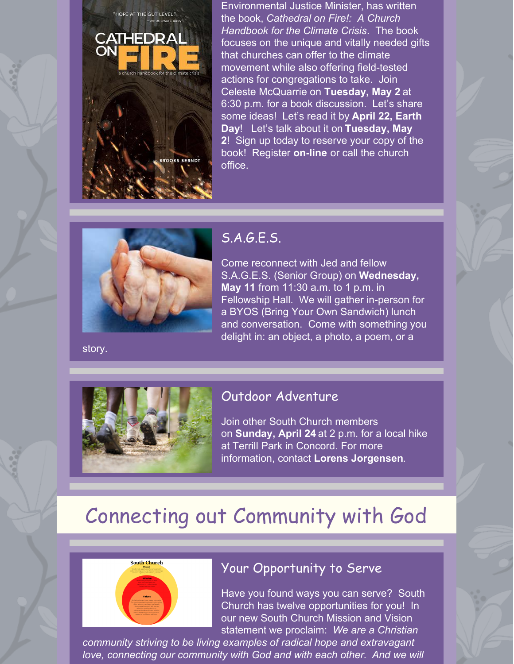

Environmental Justice Minister, has written the book, *Cathedral on Fire!: A Church Handbook for the Climate Crisis*. The book focuses on the unique and vitally needed gifts that churches can offer to the climate movement while also offering field-tested actions for congregations to take. Join Celeste McQuarrie on **Tuesday, May 2** at 6:30 p.m. for a book discussion. Let's share some ideas! Let's read it by **April 22, Earth Day**! Let's talk about it on **Tuesday, May 2**! Sign up today to reserve your copy of the book! Register **[on-line](https://www.southchurchconcord.org/event-details/book-discussion-2)** or call the church office.

S.A.G.E.S.

Come reconnect with Jed and fellow S.A.G.E.S. (Senior Group) on **Wednesday, May 11** from 11:30 a.m. to 1 p.m. in Fellowship Hall. We will gather in-person for a BYOS (Bring Your Own Sandwich) lunch and conversation. Come with something you delight in: an object, a photo, a poem, or a

story.



#### Outdoor Adventure

Join other South Church members on **Sunday, April 24** at 2 p.m. for a local hike at Terrill Park in Concord. For more information, contact **Lorens [Jorgensen](mailto:lorensjorgensen@yahoo.com)**.

# Connecting out Community with God



#### Your Opportunity to Serve

Have you found ways you can serve? South Church has twelve opportunities for you! In our new South Church Mission and Vision statement we proclaim: *We are a Christian*

*community striving to be living examples of radical hope and extravagant love, connecting our community with God and with each other*. *And we will*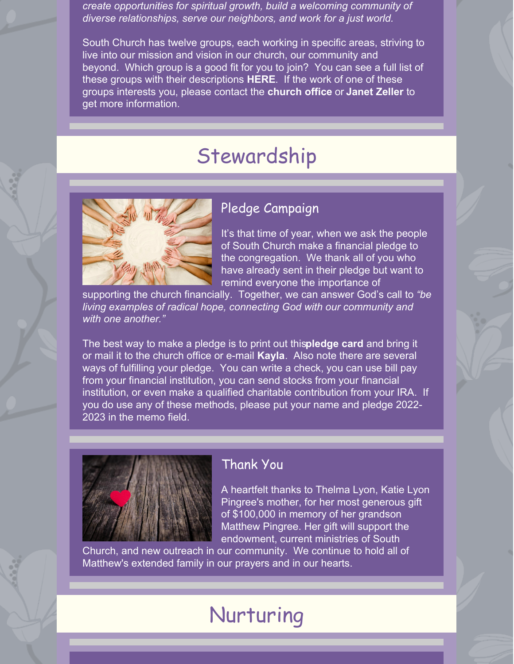*create opportunities for spiritual growth, build a welcoming community of diverse relationships, serve our neighbors, and work for a just world.*

South Church has twelve groups, each working in specific areas, striving to live into our mission and vision in our church, our community and beyond. Which group is a good fit for you to join? You can see a full list of these groups with their descriptions **[HERE](https://files.constantcontact.com/b04c569b001/1f6583d7-5259-47fb-bb25-db95cf20328e.docx)**. If the work of one of these groups interests you, please contact the **[church](mailto:office@southchurchconcord.org) office** or **[Janet](mailto:janet.zeller@gmail.com) Zeller** to get more information.

# Stewardship



#### Pledge Campaign

It's that time of year, when we ask the people of South Church make a financial pledge to the congregation. We thank all of you who have already sent in their pledge but want to remind everyone the importance of

supporting the church financially. Together, we can answer God's call to *"be living examples of radical hope, connecting God with our community and with one another."*

The best way to make a pledge is to print out this**[pledge](https://files.constantcontact.com/b04c569b001/5f24dd84-c35d-46f9-acee-18fdb55831fd.pdf) card** and bring it or mail it to the church office or e-mail **[Kayla](mailto:office@southchurchconcord.org)**. Also note there are several ways of fulfilling your pledge. You can write a check, you can use bill pay from your financial institution, you can send stocks from your financial institution, or even make a qualified charitable contribution from your IRA. If you do use any of these methods, please put your name and pledge 2022- 2023 in the memo field.



#### Thank You

A heartfelt thanks to Thelma Lyon, Katie Lyon Pingree's mother, for her most generous gift of \$100,000 in memory of her grandson Matthew Pingree. Her gift will support the endowment, current ministries of South

Church, and new outreach in our community. We continue to hold all of Matthew's extended family in our prayers and in our hearts.

# Nurturing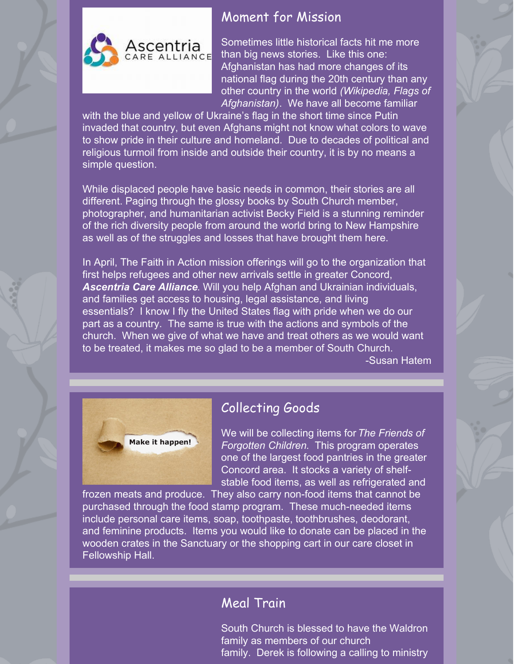

### Moment for Mission

Sometimes little historical facts hit me more than big news stories. Like this one: Afghanistan has had more changes of its national flag during the 20th century than any other country in the world *(Wikipedia, Flags of Afghanistan)*. We have all become familiar

with the blue and yellow of Ukraine's flag in the short time since Putin invaded that country, but even Afghans might not know what colors to wave to show pride in their culture and homeland. Due to decades of political and religious turmoil from inside and outside their country, it is by no means a simple question.

While displaced people have basic needs in common, their stories are all different. Paging through the glossy books by South Church member, photographer, and humanitarian activist Becky Field is a stunning reminder of the rich diversity people from around the world bring to New Hampshire as well as of the struggles and losses that have brought them here.

In April, The Faith in Action mission offerings will go to the organization that first helps refugees and other new arrivals settle in greater Concord, *[Ascentria](https://south-church-concord-donations.square.site/) Care Alliance*. Will you help Afghan and Ukrainian individuals, and families get access to housing, legal assistance, and living essentials? I know I fly the United States flag with pride when we do our part as a country. The same is true with the actions and symbols of the church. When we give of what we have and treat others as we would want to be treated, it makes me so glad to be a member of South Church.

-Susan Hatem



## Collecting Goods

We will be collecting items for*The Friends of Forgotten Children*. This program operates one of the largest food pantries in the greater Concord area. It stocks a variety of shelfstable food items, as well as refrigerated and

frozen meats and produce. They also carry non-food items that cannot be purchased through the food stamp program. These much-needed items include personal care items, soap, toothpaste, toothbrushes, deodorant, and feminine products. Items you would like to donate can be placed in the wooden crates in the Sanctuary or the shopping cart in our care closet in Fellowship Hall.

### Meal Train

South Church is blessed to have the Waldron family as members of our church family. Derek is following a calling to ministry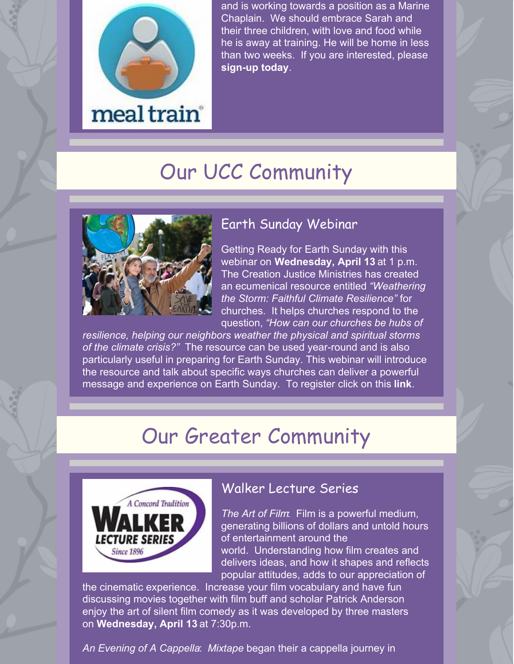

and is working towards a position as a Marine Chaplain. We should embrace Sarah and their three children, with love and food while he is away at training. He will be home in less than two weeks. If you are interested, please **[sign-up](https://www.mealtrain.com/trains/0734m5) today**.

# Our UCC Community



### Earth Sunday Webinar

Getting Ready for Earth Sunday with this webinar on **Wednesday, April 13** at 1 p.m. The Creation Justice Ministries has created an ecumenical resource entitled *"Weathering the Storm: Faithful Climate Resilience"* for churches. It helps churches respond to the question, *"How can our churches be hubs of*

*resilience, helping our neighbors weather the physical and spiritual storms of the climate crisis?"* The resource can be used year-round and is also particularly useful in preparing for Earth Sunday. This webinar will introduce the resource and talk about specific ways churches can deliver a powerful message and experience on Earth Sunday. To register click on this **[link](https://ucc.zoom.us/webinar/register/8116462328784/WN_B9fD1WYnRHmz_N8no4E9FQ)**.

# Our Greater Community



#### Walker Lecture Series

*The Art of Film*: Film is a powerful medium, generating billions of dollars and untold hours of entertainment around the world. Understanding how film creates and delivers ideas, and how it shapes and reflects popular attitudes, adds to our appreciation of

the cinematic experience. Increase your film vocabulary and have fun discussing movies together with film buff and scholar Patrick Anderson enjoy the art of silent film comedy as it was developed by three masters on **Wednesday, April 13** at 7:30p.m.

*An Evening of A Cappella*: *Mixtape* began their a cappella journey in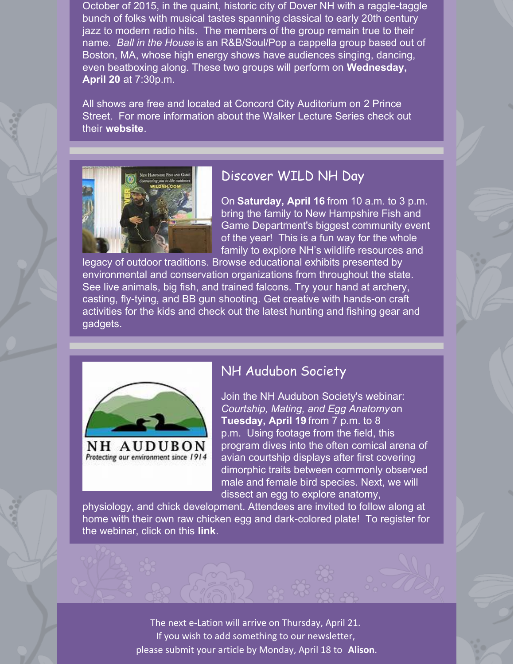October of 2015, in the quaint, historic city of Dover NH with a raggle-taggle bunch of folks with musical tastes spanning classical to early 20th century jazz to modern radio hits. The members of the group remain true to their name. *Ball in the House* is an R&B/Soul/Pop a cappella group based out of Boston, MA, whose high energy shows have audiences singing, dancing, even beatboxing along. These two groups will perform on **Wednesday, April 20** at 7:30p.m.

All shows are free and located at Concord City Auditorium on 2 Prince Street. For more information about the Walker Lecture Series check out their **[website](http://walkerlecture.org)**.



#### Discover WILD NH Day

On **Saturday, April 16** from 10 a.m. to 3 p.m. bring the family to New Hampshire Fish and Game Department's biggest community event of the year! This is a fun way for the whole family to explore NH's wildlife resources and

legacy of outdoor traditions. Browse educational exhibits presented by environmental and conservation organizations from throughout the state. See live animals, big fish, and trained falcons. Try your hand at archery, casting, fly-tying, and BB gun shooting. Get creative with hands-on craft activities for the kids and check out the latest hunting and fishing gear and gadgets.



#### NH Audubon Society

Join the NH Audubon Society's webinar: *Courtship, Mating, and Egg Anatomy* on **Tuesday, April 19** from 7 p.m. to 8 p.m. Using footage from the field, this program dives into the often comical arena of avian courtship displays after first covering dimorphic traits between commonly observed male and female bird species. Next, we will dissect an egg to explore anatomy,

physiology, and chick development. Attendees are invited to follow along at home with their own raw chicken egg and dark-colored plate! To register for the webinar, click on this **[link](https://us02web.zoom.us/webinar/register/WN_KtvW2IhhQ0C0AynDStLMtg)**.

> The next e-Lation will arrive on Thursday, April 21. If you wish to add something to our newsletter, please submit your article by Monday, April 18 to **[Alison](http://anyhan@southchurchconcord.org)**.